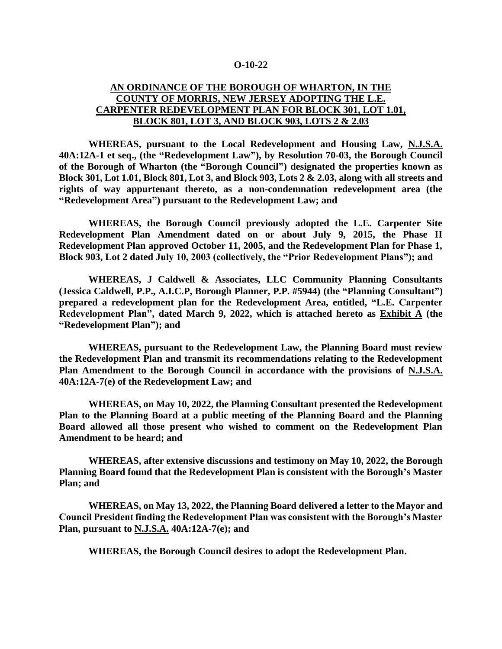## **O-10-22**

## **AN ORDINANCE OF THE BOROUGH OF WHARTON, IN THE COUNTY OF MORRIS, NEW JERSEY ADOPTING THE L.E. CARPENTER REDEVELOPMENT PLAN FOR BLOCK 301, LOT 1.01, BLOCK 801, LOT 3, AND BLOCK 903, LOTS 2 & 2.03**

**WHEREAS, pursuant to the Local Redevelopment and Housing Law, N.J.S.A. 40A:12A-1 et seq., (the "Redevelopment Law"), by Resolution 70-03, the Borough Council of the Borough of Wharton (the "Borough Council") designated the properties known as Block 301, Lot 1.01, Block 801, Lot 3, and Block 903, Lots 2 & 2.03, along with all streets and rights of way appurtenant thereto, as a non-condemnation redevelopment area (the "Redevelopment Area") pursuant to the Redevelopment Law; and**

**WHEREAS, the Borough Council previously adopted the L.E. Carpenter Site Redevelopment Plan Amendment dated on or about July 9, 2015, the Phase II Redevelopment Plan approved October 11, 2005, and the Redevelopment Plan for Phase 1, Block 903, Lot 2 dated July 10, 2003 (collectively, the "Prior Redevelopment Plans"); and** 

**WHEREAS, J Caldwell & Associates, LLC Community Planning Consultants (Jessica Caldwell, P.P., A.I.C.P, Borough Planner, P.P. #5944) (the "Planning Consultant") prepared a redevelopment plan for the Redevelopment Area, entitled, "L.E. Carpenter Redevelopment Plan", dated March 9, 2022, which is attached hereto as Exhibit A (the "Redevelopment Plan"); and** 

**WHEREAS, pursuant to the Redevelopment Law, the Planning Board must review the Redevelopment Plan and transmit its recommendations relating to the Redevelopment Plan Amendment to the Borough Council in accordance with the provisions of N.J.S.A. 40A:12A-7(e) of the Redevelopment Law; and**

**WHEREAS, on May 10, 2022, the Planning Consultant presented the Redevelopment Plan to the Planning Board at a public meeting of the Planning Board and the Planning Board allowed all those present who wished to comment on the Redevelopment Plan Amendment to be heard; and** 

**WHEREAS, after extensive discussions and testimony on May 10, 2022, the Borough Planning Board found that the Redevelopment Plan is consistent with the Borough's Master Plan; and**

**WHEREAS, on May 13, 2022, the Planning Board delivered a letter to the Mayor and Council President finding the Redevelopment Plan was consistent with the Borough's Master Plan, pursuant to N.J.S.A. 40A:12A-7(e); and**

**WHEREAS, the Borough Council desires to adopt the Redevelopment Plan.**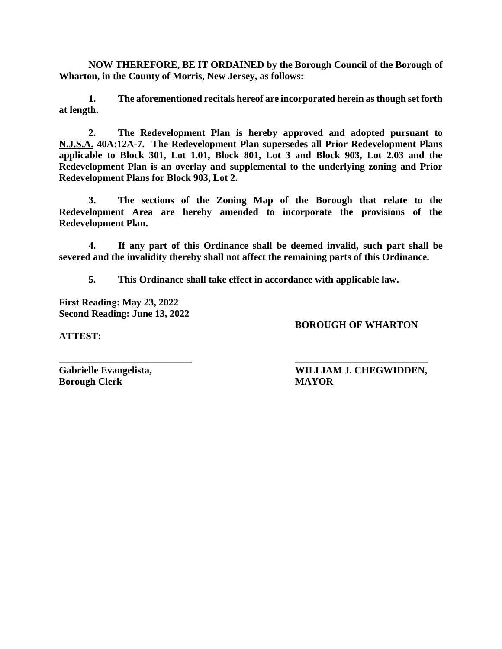**NOW THEREFORE, BE IT ORDAINED by the Borough Council of the Borough of Wharton, in the County of Morris, New Jersey, as follows:**

**1. The aforementioned recitals hereof are incorporated herein as though set forth at length.**

**2. The Redevelopment Plan is hereby approved and adopted pursuant to N.J.S.A. 40A:12A-7. The Redevelopment Plan supersedes all Prior Redevelopment Plans applicable to Block 301, Lot 1.01, Block 801, Lot 3 and Block 903, Lot 2.03 and the Redevelopment Plan is an overlay and supplemental to the underlying zoning and Prior Redevelopment Plans for Block 903, Lot 2.**

**3. The sections of the Zoning Map of the Borough that relate to the Redevelopment Area are hereby amended to incorporate the provisions of the Redevelopment Plan.**

**4. If any part of this Ordinance shall be deemed invalid, such part shall be severed and the invalidity thereby shall not affect the remaining parts of this Ordinance.**

**5. This Ordinance shall take effect in accordance with applicable law.**

**First Reading: May 23, 2022 Second Reading: June 13, 2022**

**BOROUGH OF WHARTON**

**ATTEST:**

**Borough Clerk MAYOR**

**\_\_\_\_\_\_\_\_\_\_\_\_\_\_\_\_\_\_\_\_\_\_\_\_\_\_\_ \_\_\_\_\_\_\_\_\_\_\_\_\_\_\_\_\_\_\_\_\_\_\_\_\_\_\_ Gabrielle Evangelista, WILLIAM J. CHEGWIDDEN,**